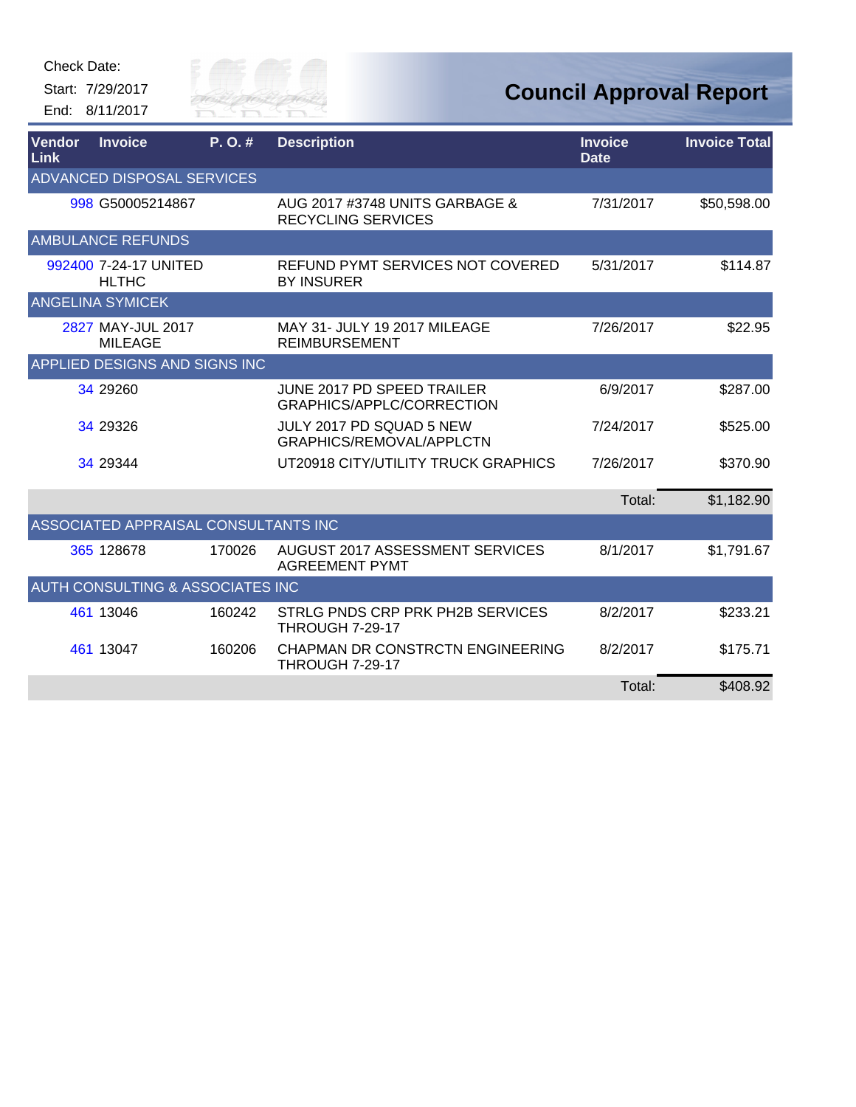

| Vendor<br>Link          | <b>Invoice</b>                              | P. O. # | <b>Description</b>                                              | <b>Invoice</b><br><b>Date</b> | <b>Invoice Total</b> |  |  |
|-------------------------|---------------------------------------------|---------|-----------------------------------------------------------------|-------------------------------|----------------------|--|--|
|                         | ADVANCED DISPOSAL SERVICES                  |         |                                                                 |                               |                      |  |  |
|                         | 998 G50005214867                            |         | AUG 2017 #3748 UNITS GARBAGE &<br><b>RECYCLING SERVICES</b>     | 7/31/2017                     | \$50,598.00          |  |  |
|                         | <b>AMBULANCE REFUNDS</b>                    |         |                                                                 |                               |                      |  |  |
|                         | 992400 7-24-17 UNITED<br><b>HLTHC</b>       |         | REFUND PYMT SERVICES NOT COVERED<br><b>BY INSURER</b>           | 5/31/2017                     | \$114.87             |  |  |
| <b>ANGELINA SYMICEK</b> |                                             |         |                                                                 |                               |                      |  |  |
|                         | 2827 MAY-JUL 2017<br><b>MILEAGE</b>         |         | MAY 31- JULY 19 2017 MILEAGE<br><b>REIMBURSEMENT</b>            | 7/26/2017                     | \$22.95              |  |  |
|                         | APPLIED DESIGNS AND SIGNS INC               |         |                                                                 |                               |                      |  |  |
|                         | 34 29260                                    |         | JUNE 2017 PD SPEED TRAILER<br>GRAPHICS/APPLC/CORRECTION         | 6/9/2017                      | \$287.00             |  |  |
|                         | 34 29326                                    |         | JULY 2017 PD SQUAD 5 NEW<br>GRAPHICS/REMOVAL/APPLCTN            | 7/24/2017                     | \$525.00             |  |  |
|                         | 34 29344                                    |         | UT20918 CITY/UTILITY TRUCK GRAPHICS                             | 7/26/2017                     | \$370.90             |  |  |
|                         |                                             |         |                                                                 | Total:                        | \$1,182.90           |  |  |
|                         | ASSOCIATED APPRAISAL CONSULTANTS INC        |         |                                                                 |                               |                      |  |  |
|                         | 365 128678                                  | 170026  | <b>AUGUST 2017 ASSESSMENT SERVICES</b><br><b>AGREEMENT PYMT</b> | 8/1/2017                      | \$1,791.67           |  |  |
|                         | <b>AUTH CONSULTING &amp; ASSOCIATES INC</b> |         |                                                                 |                               |                      |  |  |
|                         | 461 13046                                   | 160242  | STRLG PNDS CRP PRK PH2B SERVICES<br><b>THROUGH 7-29-17</b>      | 8/2/2017                      | \$233.21             |  |  |
|                         | 461 13047                                   | 160206  | CHAPMAN DR CONSTRCTN ENGINEERING<br><b>THROUGH 7-29-17</b>      | 8/2/2017                      | \$175.71             |  |  |
|                         |                                             |         |                                                                 | Total:                        | \$408.92             |  |  |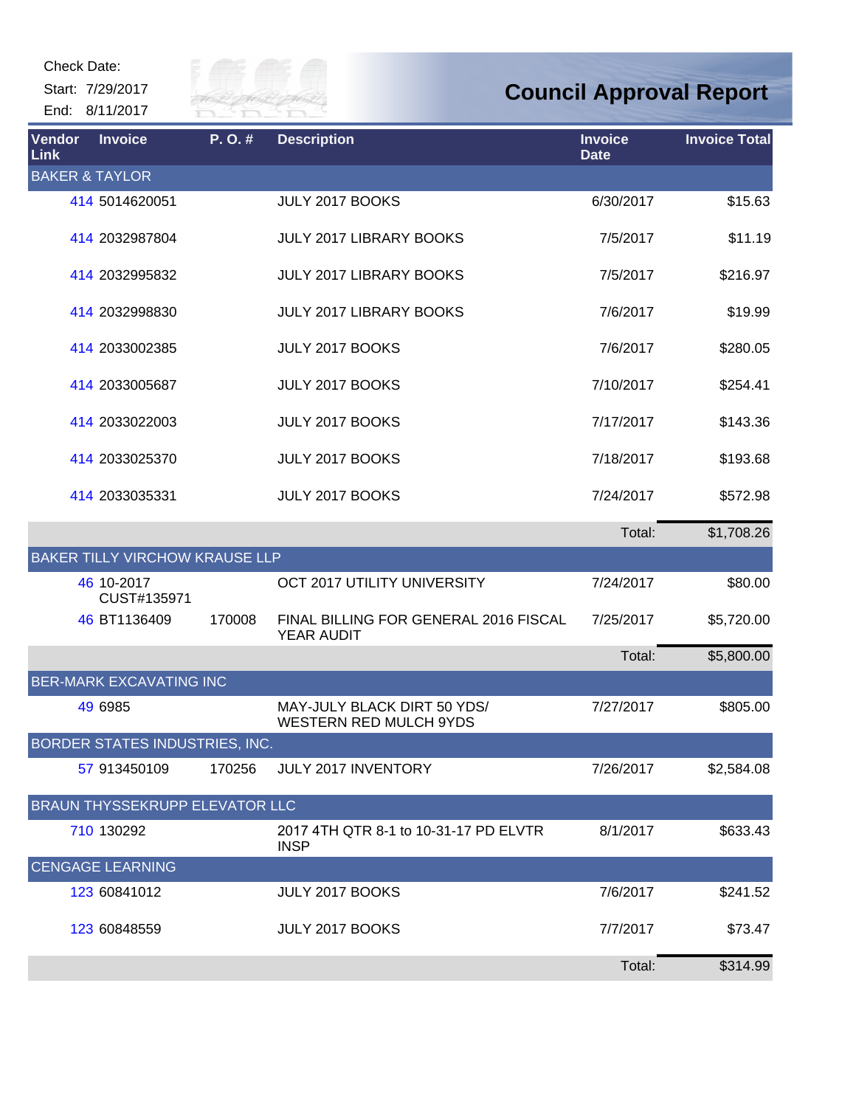Start: 7/29/2017 End: 8/11/2017



## **Council Approval Report**

| <b>Vendor</b><br><b>Link</b> | <b>Invoice</b>                        | P.O.#  | <b>Description</b>                                           | <b>Invoice</b><br><b>Date</b> | <b>Invoice Total</b> |
|------------------------------|---------------------------------------|--------|--------------------------------------------------------------|-------------------------------|----------------------|
| <b>BAKER &amp; TAYLOR</b>    |                                       |        |                                                              |                               |                      |
|                              | 414 5014620051                        |        | JULY 2017 BOOKS                                              | 6/30/2017                     | \$15.63              |
|                              | 414 2032987804                        |        | JULY 2017 LIBRARY BOOKS                                      | 7/5/2017                      | \$11.19              |
|                              | 414 2032995832                        |        | <b>JULY 2017 LIBRARY BOOKS</b>                               | 7/5/2017                      | \$216.97             |
|                              | 414 2032998830                        |        | <b>JULY 2017 LIBRARY BOOKS</b>                               | 7/6/2017                      | \$19.99              |
|                              | 414 2033002385                        |        | JULY 2017 BOOKS                                              | 7/6/2017                      | \$280.05             |
|                              | 414 2033005687                        |        | JULY 2017 BOOKS                                              | 7/10/2017                     | \$254.41             |
|                              | 414 2033022003                        |        | JULY 2017 BOOKS                                              | 7/17/2017                     | \$143.36             |
|                              | 414 2033025370                        |        | JULY 2017 BOOKS                                              | 7/18/2017                     | \$193.68             |
|                              | 414 2033035331                        |        | JULY 2017 BOOKS                                              | 7/24/2017                     | \$572.98             |
|                              |                                       |        |                                                              | Total:                        | \$1,708.26           |
|                              | <b>BAKER TILLY VIRCHOW KRAUSE LLP</b> |        |                                                              |                               |                      |
|                              | 46 10-2017<br>CUST#135971             |        | OCT 2017 UTILITY UNIVERSITY                                  | 7/24/2017                     | \$80.00              |
|                              | 46 BT1136409                          | 170008 | FINAL BILLING FOR GENERAL 2016 FISCAL<br>YEAR AUDIT          | 7/25/2017                     | \$5,720.00           |
|                              |                                       |        |                                                              | Total:                        | \$5,800.00           |
|                              | <b>BER-MARK EXCAVATING INC</b>        |        |                                                              |                               |                      |
|                              | 49 6985                               |        | MAY-JULY BLACK DIRT 50 YDS/<br><b>WESTERN RED MULCH 9YDS</b> | 7/27/2017                     | \$805.00             |
|                              | BORDER STATES INDUSTRIES, INC.        |        |                                                              |                               |                      |
|                              | 57 913450109                          | 170256 | JULY 2017 INVENTORY                                          | 7/26/2017                     | \$2,584.08           |
|                              | <b>BRAUN THYSSEKRUPP ELEVATOR LLC</b> |        |                                                              |                               |                      |
|                              | 710 130292                            |        | 2017 4TH QTR 8-1 to 10-31-17 PD ELVTR<br><b>INSP</b>         | 8/1/2017                      | \$633.43             |
|                              | <b>CENGAGE LEARNING</b>               |        |                                                              |                               |                      |
|                              | 123 60841012                          |        | JULY 2017 BOOKS                                              | 7/6/2017                      | \$241.52             |
|                              | 123 60848559                          |        | JULY 2017 BOOKS                                              | 7/7/2017                      | \$73.47              |
|                              |                                       |        |                                                              | Total:                        | \$314.99             |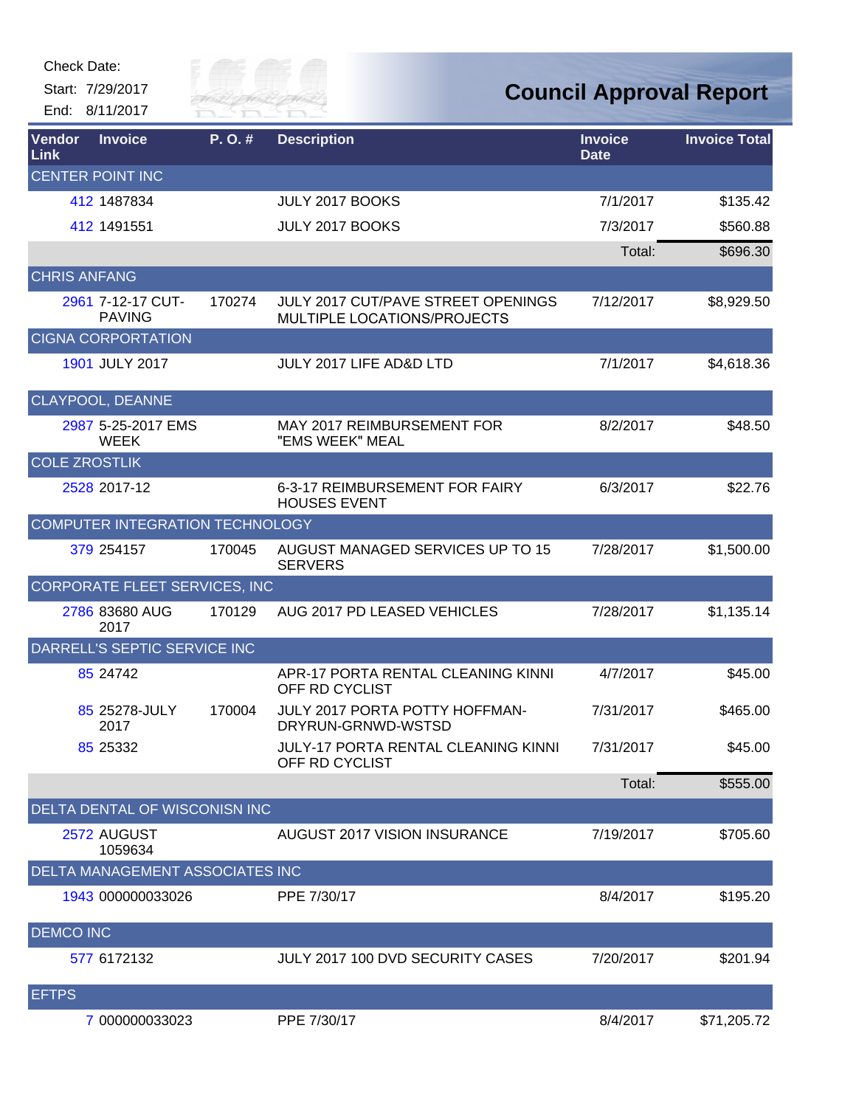

| Vendor<br>Link       | <b>Invoice</b>                         | $P. O.$ # | <b>Description</b>                                                | <b>Invoice</b><br><b>Date</b> | <b>Invoice Total</b> |
|----------------------|----------------------------------------|-----------|-------------------------------------------------------------------|-------------------------------|----------------------|
|                      | <b>CENTER POINT INC</b>                |           |                                                                   |                               |                      |
|                      | 412 1487834                            |           | JULY 2017 BOOKS                                                   | 7/1/2017                      | \$135.42             |
|                      | 412 1491551                            |           | JULY 2017 BOOKS                                                   | 7/3/2017                      | \$560.88             |
|                      |                                        |           |                                                                   | Total:                        | \$696.30             |
| <b>CHRIS ANFANG</b>  |                                        |           |                                                                   |                               |                      |
|                      | 2961 7-12-17 CUT-<br><b>PAVING</b>     | 170274    | JULY 2017 CUT/PAVE STREET OPENINGS<br>MULTIPLE LOCATIONS/PROJECTS | 7/12/2017                     | \$8,929.50           |
|                      | <b>CIGNA CORPORTATION</b>              |           |                                                                   |                               |                      |
|                      | 1901 JULY 2017                         |           | JULY 2017 LIFE AD&D LTD                                           | 7/1/2017                      | \$4,618.36           |
|                      | CLAYPOOL, DEANNE                       |           |                                                                   |                               |                      |
|                      | 2987 5-25-2017 EMS<br><b>WEEK</b>      |           | MAY 2017 REIMBURSEMENT FOR<br>"EMS WEEK" MEAL                     | 8/2/2017                      | \$48.50              |
| <b>COLE ZROSTLIK</b> |                                        |           |                                                                   |                               |                      |
|                      | 2528 2017-12                           |           | 6-3-17 REIMBURSEMENT FOR FAIRY<br><b>HOUSES EVENT</b>             | 6/3/2017                      | \$22.76              |
|                      | COMPUTER INTEGRATION TECHNOLOGY        |           |                                                                   |                               |                      |
|                      | 379 254157                             | 170045    | AUGUST MANAGED SERVICES UP TO 15<br><b>SERVERS</b>                | 7/28/2017                     | \$1,500.00           |
|                      | CORPORATE FLEET SERVICES, INC          |           |                                                                   |                               |                      |
|                      | 2786 83680 AUG<br>2017                 | 170129    | AUG 2017 PD LEASED VEHICLES                                       | 7/28/2017                     | \$1,135.14           |
|                      | DARRELL'S SEPTIC SERVICE INC           |           |                                                                   |                               |                      |
|                      | 85 24742                               |           | APR-17 PORTA RENTAL CLEANING KINNI<br>OFF RD CYCLIST              | 4/7/2017                      | \$45.00              |
|                      | 85 25278-JULY<br>2017                  | 170004    | JULY 2017 PORTA POTTY HOFFMAN-<br>DRYRUN-GRNWD-WSTSD              | 7/31/2017                     | \$465.00             |
|                      | 85 25332                               |           | JULY-17 PORTA RENTAL CLEANING KINNI<br>OFF RD CYCLIST             | 7/31/2017                     | \$45.00              |
|                      |                                        |           |                                                                   | Total:                        | \$555.00             |
|                      | DELTA DENTAL OF WISCONISN INC          |           |                                                                   |                               |                      |
|                      | 2572 AUGUST<br>1059634                 |           | AUGUST 2017 VISION INSURANCE                                      | 7/19/2017                     | \$705.60             |
|                      | <b>DELTA MANAGEMENT ASSOCIATES INC</b> |           |                                                                   |                               |                      |
|                      | 1943 000000033026                      |           | PPE 7/30/17                                                       | 8/4/2017                      | \$195.20             |
| <b>DEMCO INC</b>     |                                        |           |                                                                   |                               |                      |
|                      | 577 6172132                            |           | JULY 2017 100 DVD SECURITY CASES                                  | 7/20/2017                     | \$201.94             |
| <b>EFTPS</b>         |                                        |           |                                                                   |                               |                      |
|                      | 7 000000033023                         |           | PPE 7/30/17                                                       | 8/4/2017                      | \$71,205.72          |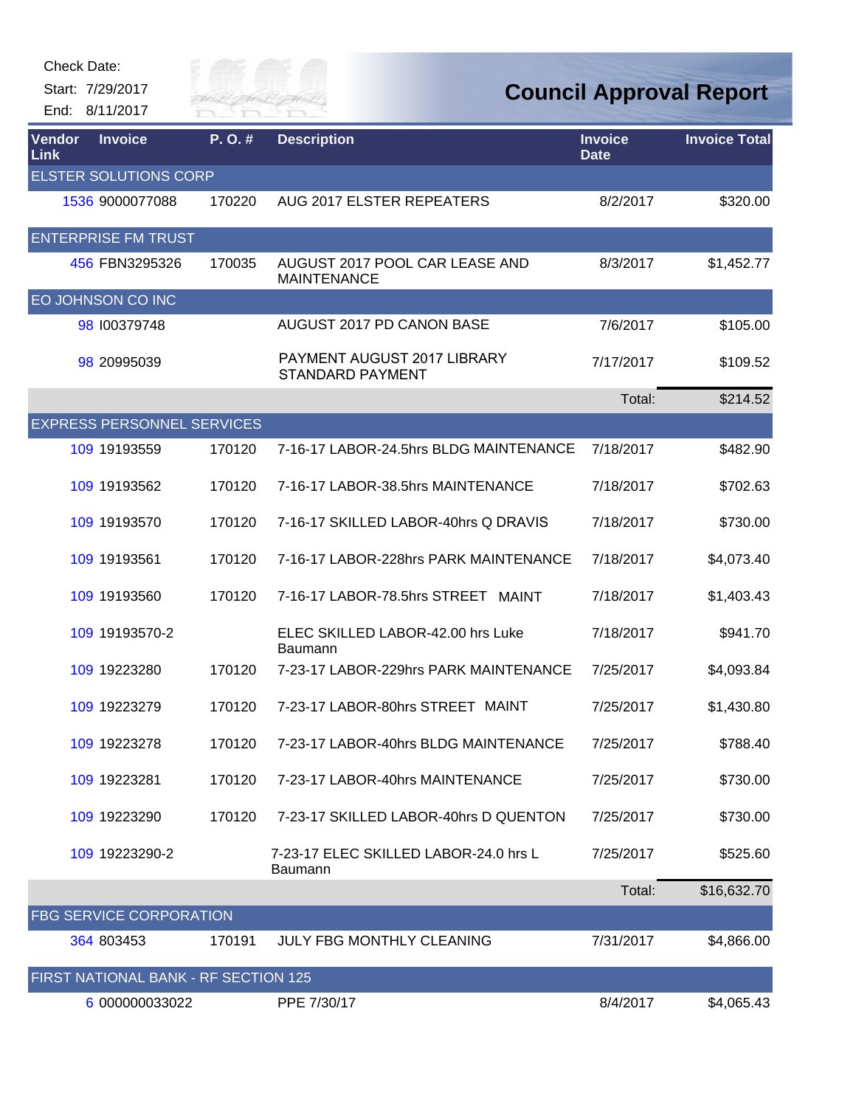

| Vendor<br>Link | <b>Invoice</b>                       | P. O. # | <b>Description</b>                                     | <b>Invoice</b><br><b>Date</b> | <b>Invoice Total</b> |
|----------------|--------------------------------------|---------|--------------------------------------------------------|-------------------------------|----------------------|
|                | <b>ELSTER SOLUTIONS CORP</b>         |         |                                                        |                               |                      |
|                | 1536 9000077088                      | 170220  | AUG 2017 ELSTER REPEATERS                              | 8/2/2017                      | \$320.00             |
|                | <b>ENTERPRISE FM TRUST</b>           |         |                                                        |                               |                      |
|                | 456 FBN3295326                       | 170035  | AUGUST 2017 POOL CAR LEASE AND<br><b>MAINTENANCE</b>   | 8/3/2017                      | \$1,452.77           |
|                | EO JOHNSON CO INC                    |         |                                                        |                               |                      |
|                | 98 100379748                         |         | AUGUST 2017 PD CANON BASE                              | 7/6/2017                      | \$105.00             |
|                | 98 20995039                          |         | PAYMENT AUGUST 2017 LIBRARY<br><b>STANDARD PAYMENT</b> | 7/17/2017                     | \$109.52             |
|                |                                      |         |                                                        | Total:                        | \$214.52             |
|                | <b>EXPRESS PERSONNEL SERVICES</b>    |         |                                                        |                               |                      |
|                | 109 19193559                         | 170120  | 7-16-17 LABOR-24.5hrs BLDG MAINTENANCE                 | 7/18/2017                     | \$482.90             |
|                | 109 19193562                         | 170120  | 7-16-17 LABOR-38.5hrs MAINTENANCE                      | 7/18/2017                     | \$702.63             |
|                | 109 19193570                         | 170120  | 7-16-17 SKILLED LABOR-40hrs Q DRAVIS                   | 7/18/2017                     | \$730.00             |
|                | 109 19193561                         | 170120  | 7-16-17 LABOR-228hrs PARK MAINTENANCE                  | 7/18/2017                     | \$4,073.40           |
|                | 109 19193560                         | 170120  | 7-16-17 LABOR-78.5hrs STREET MAINT                     | 7/18/2017                     | \$1,403.43           |
|                | 109 19193570-2                       |         | ELEC SKILLED LABOR-42.00 hrs Luke<br>Baumann           | 7/18/2017                     | \$941.70             |
|                | 109 19223280                         | 170120  | 7-23-17 LABOR-229hrs PARK MAINTENANCE                  | 7/25/2017                     | \$4,093.84           |
|                | 109 19223279                         | 170120  | 7-23-17 LABOR-80hrs STREET MAINT                       | 7/25/2017                     | \$1,430.80           |
|                | 109 19223278                         | 170120  | 7-23-17 LABOR-40hrs BLDG MAINTENANCE                   | 7/25/2017                     | \$788.40             |
|                | 109 19223281                         | 170120  | 7-23-17 LABOR-40hrs MAINTENANCE                        | 7/25/2017                     | \$730.00             |
|                | 109 19223290                         | 170120  | 7-23-17 SKILLED LABOR-40hrs D QUENTON                  | 7/25/2017                     | \$730.00             |
|                | 109 19223290-2                       |         | 7-23-17 ELEC SKILLED LABOR-24.0 hrs L<br>Baumann       | 7/25/2017                     | \$525.60             |
|                |                                      |         |                                                        | Total:                        | \$16,632.70          |
|                | FBG SERVICE CORPORATION              |         |                                                        |                               |                      |
|                | 364 803453                           | 170191  | <b>JULY FBG MONTHLY CLEANING</b>                       | 7/31/2017                     | \$4,866.00           |
|                | FIRST NATIONAL BANK - RF SECTION 125 |         |                                                        |                               |                      |
|                | 6 000000033022                       |         | PPE 7/30/17                                            | 8/4/2017                      | \$4,065.43           |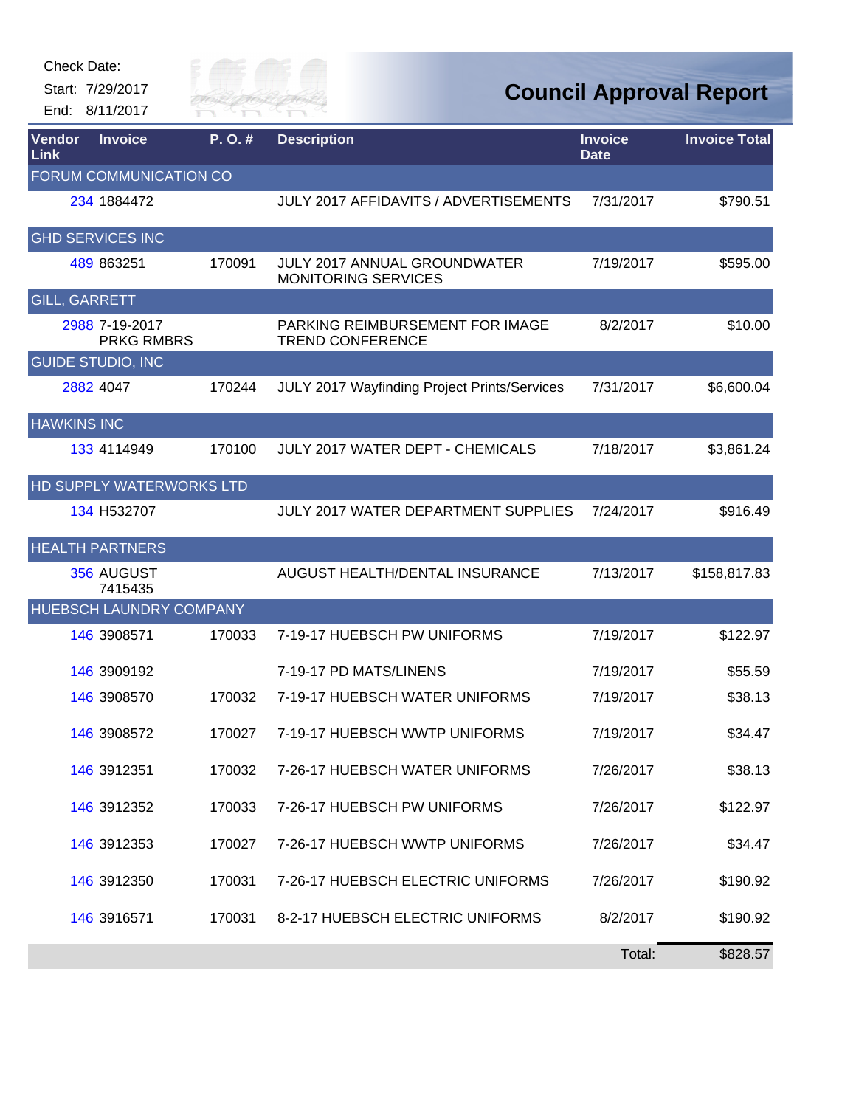

| Vendor<br>Link       | <b>Invoice</b>                      | P.O.#  | <b>Description</b>                                         | <b>Invoice</b><br><b>Date</b> | <b>Invoice Total</b> |
|----------------------|-------------------------------------|--------|------------------------------------------------------------|-------------------------------|----------------------|
|                      | FORUM COMMUNICATION CO              |        |                                                            |                               |                      |
|                      | 234 1884472                         |        | <b>JULY 2017 AFFIDAVITS / ADVERTISEMENTS</b>               | 7/31/2017                     | \$790.51             |
|                      | <b>GHD SERVICES INC</b>             |        |                                                            |                               |                      |
|                      | 489 863251                          | 170091 | JULY 2017 ANNUAL GROUNDWATER<br><b>MONITORING SERVICES</b> | 7/19/2017                     | \$595.00             |
| <b>GILL, GARRETT</b> |                                     |        |                                                            |                               |                      |
|                      | 2988 7-19-2017<br><b>PRKG RMBRS</b> |        | PARKING REIMBURSEMENT FOR IMAGE<br><b>TREND CONFERENCE</b> | 8/2/2017                      | \$10.00              |
|                      | <b>GUIDE STUDIO, INC</b>            |        |                                                            |                               |                      |
|                      | 2882 4047                           | 170244 | JULY 2017 Wayfinding Project Prints/Services               | 7/31/2017                     | \$6,600.04           |
| <b>HAWKINS INC</b>   |                                     |        |                                                            |                               |                      |
|                      | 133 4114949                         | 170100 | <b>JULY 2017 WATER DEPT - CHEMICALS</b>                    | 7/18/2017                     | \$3,861.24           |
|                      | HD SUPPLY WATERWORKS LTD            |        |                                                            |                               |                      |
|                      | 134 H532707                         |        | <b>JULY 2017 WATER DEPARTMENT SUPPLIES</b>                 | 7/24/2017                     | \$916.49             |
|                      | <b>HEALTH PARTNERS</b>              |        |                                                            |                               |                      |
|                      | 356 AUGUST<br>7415435               |        | AUGUST HEALTH/DENTAL INSURANCE                             | 7/13/2017                     | \$158,817.83         |
|                      | HUEBSCH LAUNDRY COMPANY             |        |                                                            |                               |                      |
|                      | 146 3908571                         | 170033 | 7-19-17 HUEBSCH PW UNIFORMS                                | 7/19/2017                     | \$122.97             |
|                      | 146 3909192                         |        | 7-19-17 PD MATS/LINENS                                     | 7/19/2017                     | \$55.59              |
|                      | 146 3908570                         | 170032 | 7-19-17 HUEBSCH WATER UNIFORMS                             | 7/19/2017                     | \$38.13              |
|                      | 146 3908572                         | 170027 | 7-19-17 HUEBSCH WWTP UNIFORMS                              | 7/19/2017                     | \$34.47              |
|                      | 146 3912351                         | 170032 | 7-26-17 HUEBSCH WATER UNIFORMS                             | 7/26/2017                     | \$38.13              |
|                      | 146 3912352                         | 170033 | 7-26-17 HUEBSCH PW UNIFORMS                                | 7/26/2017                     | \$122.97             |
|                      | 146 3912353                         | 170027 | 7-26-17 HUEBSCH WWTP UNIFORMS                              | 7/26/2017                     | \$34.47              |
|                      | 146 3912350                         | 170031 | 7-26-17 HUEBSCH ELECTRIC UNIFORMS                          | 7/26/2017                     | \$190.92             |
|                      | 146 3916571                         | 170031 | 8-2-17 HUEBSCH ELECTRIC UNIFORMS                           | 8/2/2017                      | \$190.92             |
|                      |                                     |        |                                                            | Total:                        | \$828.57             |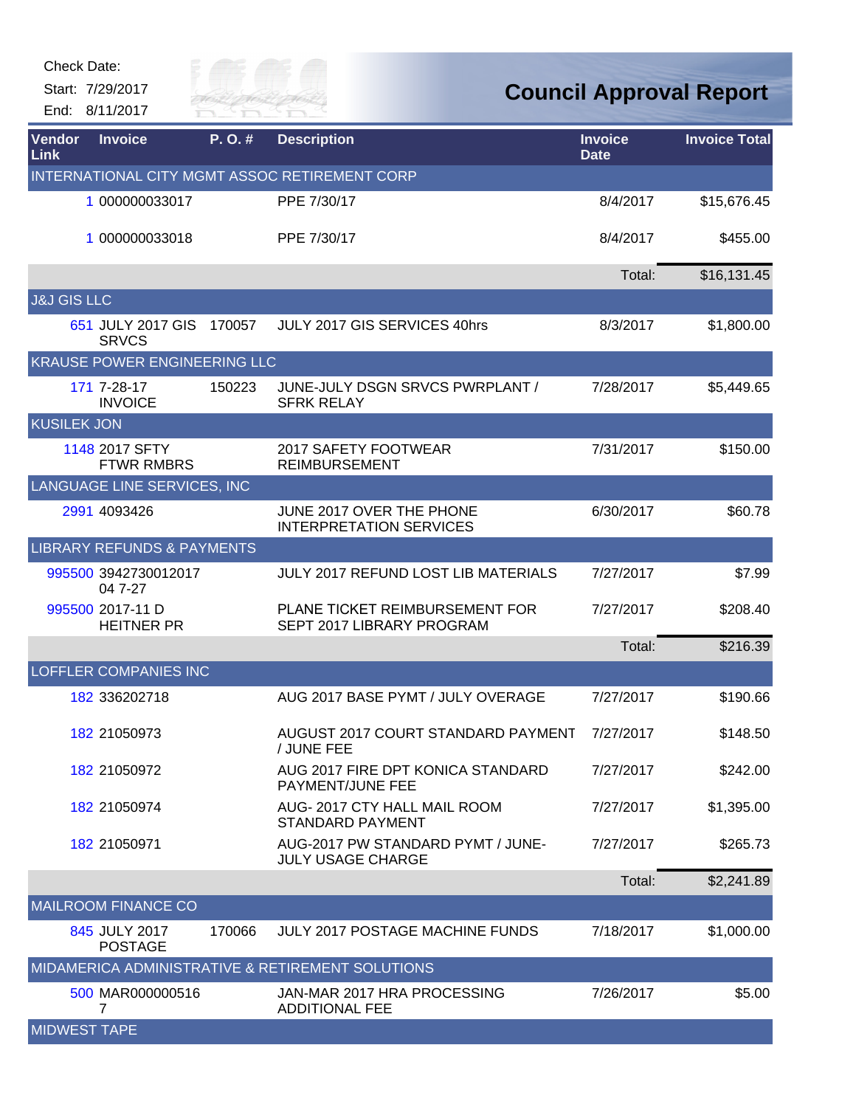Start: 7/29/2017 End: 8/11/2017



## **Council Approval Report**

| Vendor<br>Link         | <b>Invoice</b>                        | P.O.#  | <b>Description</b>                                            | <b>Invoice</b><br><b>Date</b> | <b>Invoice Total</b> |
|------------------------|---------------------------------------|--------|---------------------------------------------------------------|-------------------------------|----------------------|
|                        |                                       |        | INTERNATIONAL CITY MGMT ASSOC RETIREMENT CORP                 |                               |                      |
|                        | 1 000000033017                        |        | PPE 7/30/17                                                   | 8/4/2017                      | \$15,676.45          |
|                        | 1 000000033018                        |        | PPE 7/30/17                                                   | 8/4/2017                      | \$455.00             |
|                        |                                       |        |                                                               | Total:                        | \$16,131.45          |
| <b>J&amp;J GIS LLC</b> |                                       |        |                                                               |                               |                      |
|                        | 651 JULY 2017 GIS<br><b>SRVCS</b>     | 170057 | JULY 2017 GIS SERVICES 40hrs                                  | 8/3/2017                      | \$1,800.00           |
|                        | <b>KRAUSE POWER ENGINEERING LLC</b>   |        |                                                               |                               |                      |
|                        | 171 7-28-17<br><b>INVOICE</b>         | 150223 | JUNE-JULY DSGN SRVCS PWRPLANT /<br><b>SFRK RELAY</b>          | 7/28/2017                     | \$5,449.65           |
| <b>KUSILEK JON</b>     |                                       |        |                                                               |                               |                      |
|                        | 1148 2017 SFTY<br><b>FTWR RMBRS</b>   |        | 2017 SAFETY FOOTWEAR<br><b>REIMBURSEMENT</b>                  | 7/31/2017                     | \$150.00             |
|                        | LANGUAGE LINE SERVICES, INC           |        |                                                               |                               |                      |
|                        | 2991 4093426                          |        | JUNE 2017 OVER THE PHONE<br><b>INTERPRETATION SERVICES</b>    | 6/30/2017                     | \$60.78              |
|                        | <b>LIBRARY REFUNDS &amp; PAYMENTS</b> |        |                                                               |                               |                      |
|                        | 995500 3942730012017<br>04 7-27       |        | <b>JULY 2017 REFUND LOST LIB MATERIALS</b>                    | 7/27/2017                     | \$7.99               |
|                        | 995500 2017-11 D<br><b>HEITNER PR</b> |        | PLANE TICKET REIMBURSEMENT FOR<br>SEPT 2017 LIBRARY PROGRAM   | 7/27/2017                     | \$208.40             |
|                        |                                       |        |                                                               | Total:                        | \$216.39             |
|                        | <b>LOFFLER COMPANIES INC</b>          |        |                                                               |                               |                      |
|                        | 182 336202718                         |        | AUG 2017 BASE PYMT / JULY OVERAGE                             | 7/27/2017                     | \$190.66             |
|                        | 182 21050973                          |        | AUGUST 2017 COURT STANDARD PAYMENT<br>/ JUNE FEE              | 7/27/2017                     | \$148.50             |
|                        | 182 21050972                          |        | AUG 2017 FIRE DPT KONICA STANDARD<br>PAYMENT/JUNE FEE         | 7/27/2017                     | \$242.00             |
|                        | 182 21050974                          |        | AUG-2017 CTY HALL MAIL ROOM<br><b>STANDARD PAYMENT</b>        | 7/27/2017                     | \$1,395.00           |
|                        | 182 21050971                          |        | AUG-2017 PW STANDARD PYMT / JUNE-<br><b>JULY USAGE CHARGE</b> | 7/27/2017                     | \$265.73             |
|                        |                                       |        |                                                               | Total:                        | \$2,241.89           |
|                        | <b>MAILROOM FINANCE CO</b>            |        |                                                               |                               |                      |
|                        | 845 JULY 2017<br><b>POSTAGE</b>       | 170066 | <b>JULY 2017 POSTAGE MACHINE FUNDS</b>                        | 7/18/2017                     | \$1,000.00           |
|                        |                                       |        | MIDAMERICA ADMINISTRATIVE & RETIREMENT SOLUTIONS              |                               |                      |
|                        | 500 MAR000000516<br>7                 |        | JAN-MAR 2017 HRA PROCESSING<br><b>ADDITIONAL FEE</b>          | 7/26/2017                     | \$5.00               |
| <b>MIDWEST TAPE</b>    |                                       |        |                                                               |                               |                      |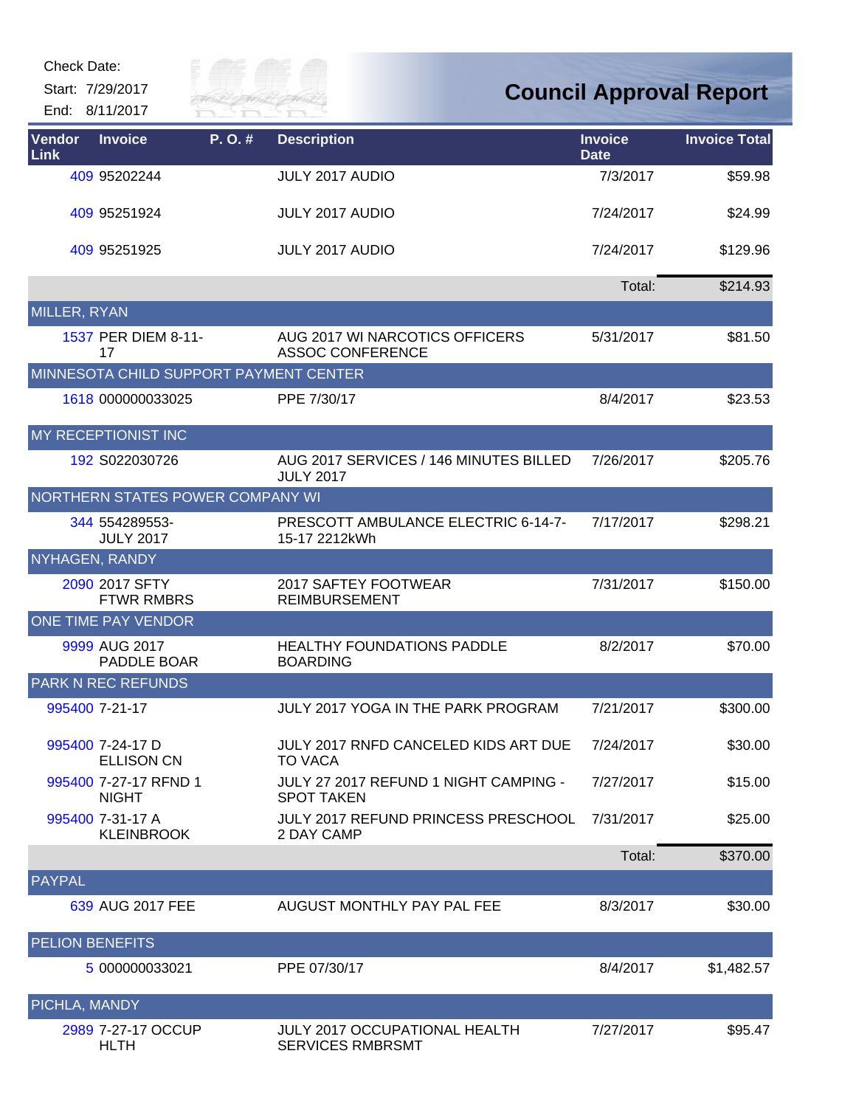Start: 7/29/2017

End: 8/11/2017



## **Council Approval Report**

| Vendor<br>Link         | <b>Invoice</b>                         | P. O. # | <b>Description</b>                                              | <b>Invoice</b><br><b>Date</b> | <b>Invoice Total</b> |
|------------------------|----------------------------------------|---------|-----------------------------------------------------------------|-------------------------------|----------------------|
|                        | 409 95202244                           |         | <b>JULY 2017 AUDIO</b>                                          | 7/3/2017                      | \$59.98              |
|                        | 409 95251924                           |         | <b>JULY 2017 AUDIO</b>                                          | 7/24/2017                     | \$24.99              |
|                        | 409 95251925                           |         | <b>JULY 2017 AUDIO</b>                                          | 7/24/2017                     | \$129.96             |
|                        |                                        |         |                                                                 | Total:                        | \$214.93             |
| MILLER, RYAN           |                                        |         |                                                                 |                               |                      |
|                        | 1537 PER DIEM 8-11-<br>17              |         | AUG 2017 WI NARCOTICS OFFICERS<br><b>ASSOC CONFERENCE</b>       | 5/31/2017                     | \$81.50              |
|                        | MINNESOTA CHILD SUPPORT PAYMENT CENTER |         |                                                                 |                               |                      |
|                        | 1618 000000033025                      |         | PPE 7/30/17                                                     | 8/4/2017                      | \$23.53              |
|                        | <b>MY RECEPTIONIST INC</b>             |         |                                                                 |                               |                      |
|                        | 192 S022030726                         |         | AUG 2017 SERVICES / 146 MINUTES BILLED<br><b>JULY 2017</b>      | 7/26/2017                     | \$205.76             |
|                        | NORTHERN STATES POWER COMPANY WI       |         |                                                                 |                               |                      |
|                        | 344 554289553-<br><b>JULY 2017</b>     |         | PRESCOTT AMBULANCE ELECTRIC 6-14-7-<br>15-17 2212kWh            | 7/17/2017                     | \$298.21             |
| NYHAGEN, RANDY         |                                        |         |                                                                 |                               |                      |
|                        | 2090 2017 SFTY<br><b>FTWR RMBRS</b>    |         | 2017 SAFTEY FOOTWEAR<br><b>REIMBURSEMENT</b>                    | 7/31/2017                     | \$150.00             |
|                        | <b>ONE TIME PAY VENDOR</b>             |         |                                                                 |                               |                      |
|                        | 9999 AUG 2017<br>PADDLE BOAR           |         | <b>HEALTHY FOUNDATIONS PADDLE</b><br><b>BOARDING</b>            | 8/2/2017                      | \$70.00              |
|                        | <b>PARK N REC REFUNDS</b>              |         |                                                                 |                               |                      |
|                        | 995400 7-21-17                         |         | JULY 2017 YOGA IN THE PARK PROGRAM                              | 7/21/2017                     | \$300.00             |
|                        | 995400 7-24-17 D<br><b>ELLISON CN</b>  |         | JULY 2017 RNFD CANCELED KIDS ART DUE<br><b>TO VACA</b>          | 7/24/2017                     | \$30.00              |
|                        | 995400 7-27-17 RFND 1<br><b>NIGHT</b>  |         | JULY 27 2017 REFUND 1 NIGHT CAMPING -<br><b>SPOT TAKEN</b>      | 7/27/2017                     | \$15.00              |
|                        | 995400 7-31-17 A<br><b>KLEINBROOK</b>  |         | <b>JULY 2017 REFUND PRINCESS PRESCHOOL</b><br>2 DAY CAMP        | 7/31/2017                     | \$25.00              |
|                        |                                        |         |                                                                 | Total:                        | \$370.00             |
| PAYPAL                 |                                        |         |                                                                 |                               |                      |
|                        | 639 AUG 2017 FEE                       |         | AUGUST MONTHLY PAY PAL FEE                                      | 8/3/2017                      | \$30.00              |
| <b>PELION BENEFITS</b> |                                        |         |                                                                 |                               |                      |
|                        | 5 000000033021                         |         | PPE 07/30/17                                                    | 8/4/2017                      | \$1,482.57           |
| PICHLA, MANDY          |                                        |         |                                                                 |                               |                      |
|                        | 2989 7-27-17 OCCUP<br><b>HLTH</b>      |         | <b>JULY 2017 OCCUPATIONAL HEALTH</b><br><b>SERVICES RMBRSMT</b> | 7/27/2017                     | \$95.47              |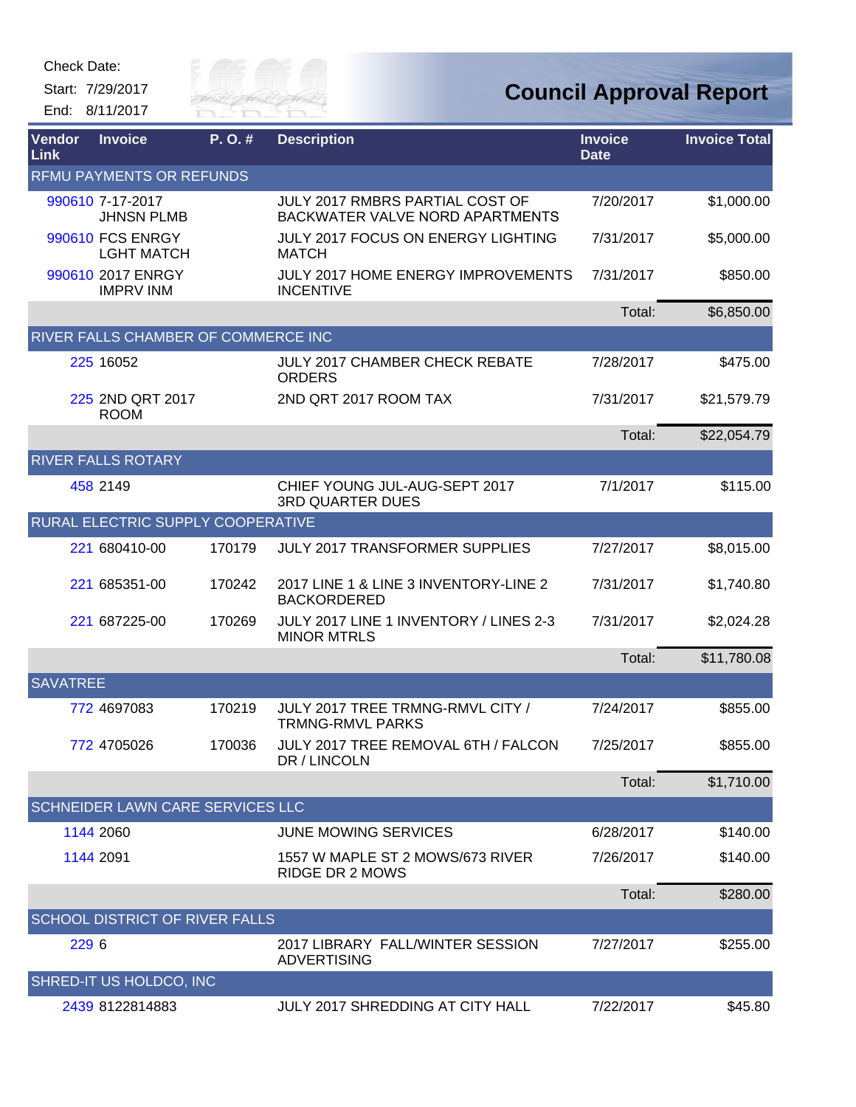

| Vendor<br>Link  | <b>Invoice</b>                          | P.O.#  | <b>Description</b>                                                        | <b>Invoice</b><br><b>Date</b> | <b>Invoice Total</b> |
|-----------------|-----------------------------------------|--------|---------------------------------------------------------------------------|-------------------------------|----------------------|
|                 | <b>RFMU PAYMENTS OR REFUNDS</b>         |        |                                                                           |                               |                      |
|                 | 990610 7-17-2017<br><b>JHNSN PLMB</b>   |        | JULY 2017 RMBRS PARTIAL COST OF<br><b>BACKWATER VALVE NORD APARTMENTS</b> | 7/20/2017                     | \$1,000.00           |
|                 | 990610 FCS ENRGY<br><b>LGHT MATCH</b>   |        | <b>JULY 2017 FOCUS ON ENERGY LIGHTING</b><br><b>MATCH</b>                 | 7/31/2017                     | \$5,000.00           |
|                 | 990610 2017 ENRGY<br><b>IMPRV INM</b>   |        | JULY 2017 HOME ENERGY IMPROVEMENTS<br><b>INCENTIVE</b>                    | 7/31/2017                     | \$850.00             |
|                 |                                         |        |                                                                           | Total:                        | \$6,850.00           |
|                 | RIVER FALLS CHAMBER OF COMMERCE INC     |        |                                                                           |                               |                      |
|                 | 225 16052                               |        | <b>JULY 2017 CHAMBER CHECK REBATE</b><br><b>ORDERS</b>                    | 7/28/2017                     | \$475.00             |
|                 | 225 2ND QRT 2017<br><b>ROOM</b>         |        | 2ND QRT 2017 ROOM TAX                                                     | 7/31/2017                     | \$21,579.79          |
|                 |                                         |        |                                                                           | Total:                        | \$22,054.79          |
|                 | <b>RIVER FALLS ROTARY</b>               |        |                                                                           |                               |                      |
|                 | 458 2149                                |        | CHIEF YOUNG JUL-AUG-SEPT 2017<br><b>3RD QUARTER DUES</b>                  | 7/1/2017                      | \$115.00             |
|                 | RURAL ELECTRIC SUPPLY COOPERATIVE       |        |                                                                           |                               |                      |
|                 | 221 680410-00                           | 170179 | <b>JULY 2017 TRANSFORMER SUPPLIES</b>                                     | 7/27/2017                     | \$8,015.00           |
|                 | 221 685351-00                           | 170242 | 2017 LINE 1 & LINE 3 INVENTORY-LINE 2<br><b>BACKORDERED</b>               | 7/31/2017                     | \$1,740.80           |
|                 | 221 687225-00                           | 170269 | JULY 2017 LINE 1 INVENTORY / LINES 2-3<br><b>MINOR MTRLS</b>              | 7/31/2017                     | \$2,024.28           |
|                 |                                         |        |                                                                           | Total:                        | \$11,780.08          |
| <b>SAVATREE</b> |                                         |        |                                                                           |                               |                      |
|                 | 772 4697083                             | 170219 | JULY 2017 TREE TRMNG-RMVL CITY /<br><b>TRMNG-RMVL PARKS</b>               | 7/24/2017                     | \$855.00             |
|                 | 772 4705026                             | 170036 | JULY 2017 TREE REMOVAL 6TH / FALCON<br>DR / LINCOLN                       | 7/25/2017                     | \$855.00             |
|                 |                                         |        |                                                                           | Total:                        | \$1,710.00           |
|                 | <b>SCHNEIDER LAWN CARE SERVICES LLC</b> |        |                                                                           |                               |                      |
|                 | 1144 2060                               |        | <b>JUNE MOWING SERVICES</b>                                               | 6/28/2017                     | \$140.00             |
|                 | 1144 2091                               |        | 1557 W MAPLE ST 2 MOWS/673 RIVER<br><b>RIDGE DR 2 MOWS</b>                | 7/26/2017                     | \$140.00             |
|                 |                                         |        |                                                                           | Total:                        | \$280.00             |
|                 | <b>SCHOOL DISTRICT OF RIVER FALLS</b>   |        |                                                                           |                               |                      |
| 229 6           |                                         |        | 2017 LIBRARY FALL/WINTER SESSION<br><b>ADVERTISING</b>                    | 7/27/2017                     | \$255.00             |
|                 | SHRED-IT US HOLDCO, INC                 |        |                                                                           |                               |                      |
|                 | 2439 8122814883                         |        | JULY 2017 SHREDDING AT CITY HALL                                          | 7/22/2017                     | \$45.80              |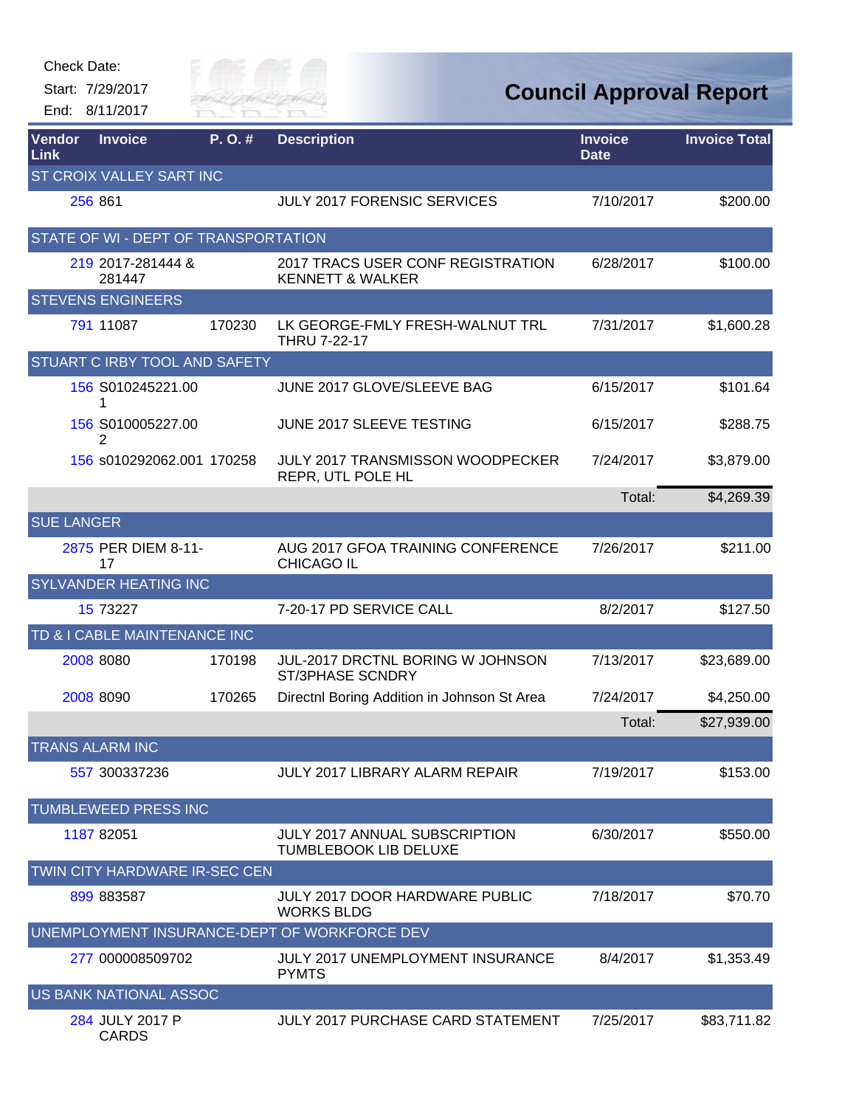| Check Date:                  |                                      |            |                                                                  |                               |                                |
|------------------------------|--------------------------------------|------------|------------------------------------------------------------------|-------------------------------|--------------------------------|
|                              | Start: 7/29/2017<br>End: 8/11/2017   | Silly of C | <b>RIVER FAI</b>                                                 |                               | <b>Council Approval Report</b> |
| <b>Vendor</b><br><b>Link</b> | <b>Invoice</b>                       | P.O.#      | <b>Description</b>                                               | <b>Invoice</b><br><b>Date</b> | <b>Invoice Total</b>           |
|                              | ST CROIX VALLEY SART INC             |            |                                                                  |                               |                                |
|                              | 256 861                              |            | <b>JULY 2017 FORENSIC SERVICES</b>                               | 7/10/2017                     | \$200.00                       |
|                              | STATE OF WI - DEPT OF TRANSPORTATION |            |                                                                  |                               |                                |
|                              | 219 2017-281444 &<br>281447          |            | 2017 TRACS USER CONF REGISTRATION<br><b>KENNETT &amp; WALKER</b> | 6/28/2017                     | \$100.00                       |
|                              | <b>STEVENS ENGINEERS</b>             |            |                                                                  |                               |                                |
|                              | 791 11087                            | 170230     | LK GEORGE-FMLY FRESH-WALNUT TRL<br><b>THRU 7-22-17</b>           | 7/31/2017                     | \$1,600.28                     |
|                              | STUART C IRBY TOOL AND SAFETY        |            |                                                                  |                               |                                |
|                              | 156 S010245221.00<br>1               |            | JUNE 2017 GLOVE/SLEEVE BAG                                       | 6/15/2017                     | \$101.64                       |
|                              | 156 S010005227.00<br>2               |            | JUNE 2017 SLEEVE TESTING                                         | 6/15/2017                     | \$288.75                       |
|                              | 156 s010292062.001 170258            |            | JULY 2017 TRANSMISSON WOODPECKER<br>REPR, UTL POLE HL            | 7/24/2017                     | \$3,879.00                     |
|                              |                                      |            |                                                                  | Total:                        | \$4,269.39                     |
| <b>SUE LANGER</b>            |                                      |            |                                                                  |                               |                                |
|                              | 2875 PER DIEM 8-11-<br>17            |            | AUG 2017 GFOA TRAINING CONFERENCE<br><b>CHICAGO IL</b>           | 7/26/2017                     | \$211.00                       |
|                              | SYLVANDER HEATING INC                |            |                                                                  |                               |                                |
|                              | 15 73227                             |            | 7-20-17 PD SERVICE CALL                                          | 8/2/2017                      | \$127.50                       |
|                              | TD & I CABLE MAINTENANCE INC         |            |                                                                  |                               |                                |
|                              | 2008 8080                            | 170198     | JUL-2017 DRCTNL BORING W JOHNSON<br>ST/3PHASE SCNDRY             | 7/13/2017                     | \$23,689.00                    |
|                              | 2008 8090                            | 170265     | Directnl Boring Addition in Johnson St Area                      | 7/24/2017                     | \$4,250.00                     |
|                              |                                      |            |                                                                  | Total:                        | \$27,939.00                    |
|                              | <b>TRANS ALARM INC</b>               |            |                                                                  |                               |                                |
|                              | 557 300337236                        |            | JULY 2017 LIBRARY ALARM REPAIR                                   | 7/19/2017                     | \$153.00                       |
|                              | TUMBLEWEED PRESS INC                 |            |                                                                  |                               |                                |
|                              | 1187 82051                           |            | JULY 2017 ANNUAL SUBSCRIPTION<br>TUMBLEBOOK LIB DELUXE           | 6/30/2017                     | \$550.00                       |
|                              | TWIN CITY HARDWARE IR-SEC CEN        |            |                                                                  |                               |                                |
|                              | 899 883587                           |            | <b>JULY 2017 DOOR HARDWARE PUBLIC</b><br><b>WORKS BLDG</b>       | 7/18/2017                     | \$70.70                        |
|                              |                                      |            | UNEMPLOYMENT INSURANCE-DEPT OF WORKFORCE DEV                     |                               |                                |
|                              | 277 000008509702                     |            | <b>JULY 2017 UNEMPLOYMENT INSURANCE</b><br><b>PYMTS</b>          | 8/4/2017                      | \$1,353.49                     |
|                              | US BANK NATIONAL ASSOC               |            |                                                                  |                               |                                |
|                              | 284 JULY 2017 P                      |            | JULY 2017 PURCHASE CARD STATEMENT                                | 7/25/2017                     | \$83,711.82                    |

[284](http://rfcapp.rfcity.org/Central/AppHost.aspx?App=vndcentral&VendorID=284) JULY 2017 P CARDS

Check Date: